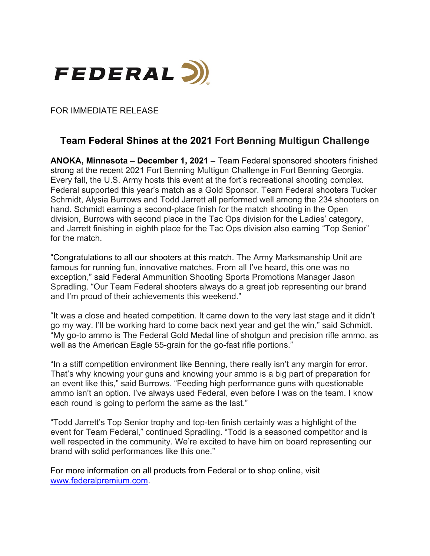

FOR IMMEDIATE RELEASE

## **Team Federal Shines at the 2021 Fort Benning Multigun Challenge**

**ANOKA, Minnesota – December 1, 2021 –** Team Federal sponsored shooters finished strong at the recent 2021 Fort Benning Multigun Challenge in Fort Benning Georgia. Every fall, the U.S. Army hosts this event at the fort's recreational shooting complex. Federal supported this year's match as a Gold Sponsor. Team Federal shooters Tucker Schmidt, Alysia Burrows and Todd Jarrett all performed well among the 234 shooters on hand. Schmidt earning a second-place finish for the match shooting in the Open division, Burrows with second place in the Tac Ops division for the Ladies' category, and Jarrett finishing in eighth place for the Tac Ops division also earning "Top Senior" for the match.

"Congratulations to all our shooters at this match. The Army Marksmanship Unit are famous for running fun, innovative matches. From all I've heard, this one was no exception," said Federal Ammunition Shooting Sports Promotions Manager Jason Spradling. "Our Team Federal shooters always do a great job representing our brand and I'm proud of their achievements this weekend."

"It was a close and heated competition. It came down to the very last stage and it didn't go my way. I'll be working hard to come back next year and get the win," said Schmidt. "My go-to ammo is The Federal Gold Medal line of shotgun and precision rifle ammo, as well as the American Eagle 55-grain for the go-fast rifle portions."

"In a stiff competition environment like Benning, there really isn't any margin for error. That's why knowing your guns and knowing your ammo is a big part of preparation for an event like this," said Burrows. "Feeding high performance guns with questionable ammo isn't an option. I've always used Federal, even before I was on the team. I know each round is going to perform the same as the last."

"Todd Jarrett's Top Senior trophy and top-ten finish certainly was a highlight of the event for Team Federal," continued Spradling. "Todd is a seasoned competitor and is well respected in the community. We're excited to have him on board representing our brand with solid performances like this one."

For more information on all products from Federal or to shop online, visit [www.federalpremium.com.](http://www.federalpremium.com/)